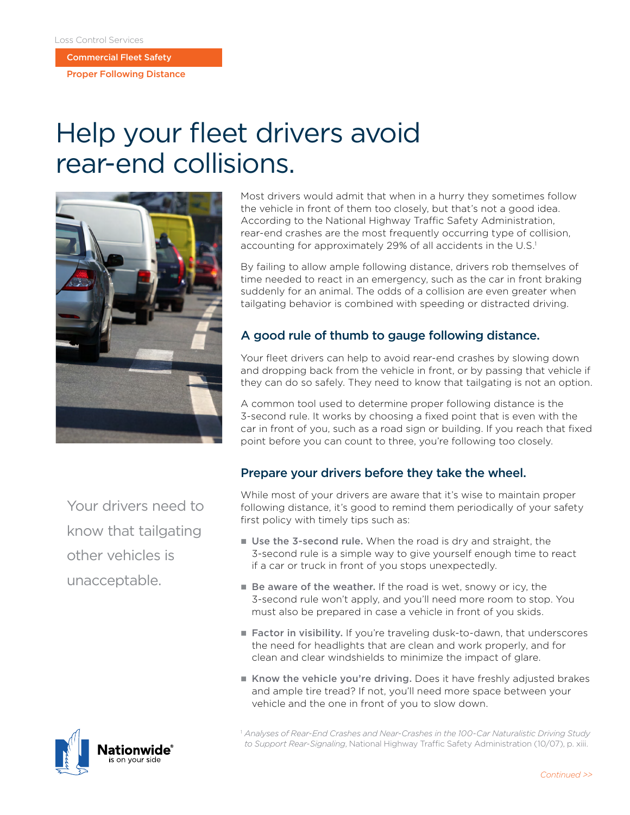Commercial Fleet Safety

Proper Following Distance

# Help your fleet drivers avoid rear-end collisions.



Your drivers need to know that tailgating other vehicles is unacceptable.

Most drivers would admit that when in a hurry they sometimes follow the vehicle in front of them too closely, but that's not a good idea. According to the National Highway Traffic Safety Administration, rear-end crashes are the most frequently occurring type of collision, accounting for approximately 29% of all accidents in the U.S.<sup>1</sup>

By failing to allow ample following distance, drivers rob themselves of time needed to react in an emergency, such as the car in front braking suddenly for an animal. The odds of a collision are even greater when tailgating behavior is combined with speeding or distracted driving.

## A good rule of thumb to gauge following distance.

Your fleet drivers can help to avoid rear-end crashes by slowing down and dropping back from the vehicle in front, or by passing that vehicle if they can do so safely. They need to know that tailgating is not an option.

A common tool used to determine proper following distance is the 3-second rule. It works by choosing a fixed point that is even with the car in front of you, such as a road sign or building. If you reach that fixed point before you can count to three, you're following too closely.

## Prepare your drivers before they take the wheel.

While most of your drivers are aware that it's wise to maintain proper following distance, it's good to remind them periodically of your safety first policy with timely tips such as:

- Use the 3-second rule. When the road is dry and straight, the 3-second rule is a simple way to give yourself enough time to react if a car or truck in front of you stops unexpectedly.
- Be aware of the weather. If the road is wet, snowy or icy, the 3-second rule won't apply, and you'll need more room to stop. You must also be prepared in case a vehicle in front of you skids.
- Factor in visibility. If you're traveling dusk-to-dawn, that underscores the need for headlights that are clean and work properly, and for clean and clear windshields to minimize the impact of glare.
- Know the vehicle you're driving. Does it have freshly adjusted brakes and ample tire tread? If not, you'll need more space between your vehicle and the one in front of you to slow down.

<sup>1</sup> *Analyses of Rear-End Crashes and Near-Crashes in the 100-Car Naturalistic Driving Study to Support Rear-Signaling*, National Highway Traffic Safety Administration (10/07), p. xiii.